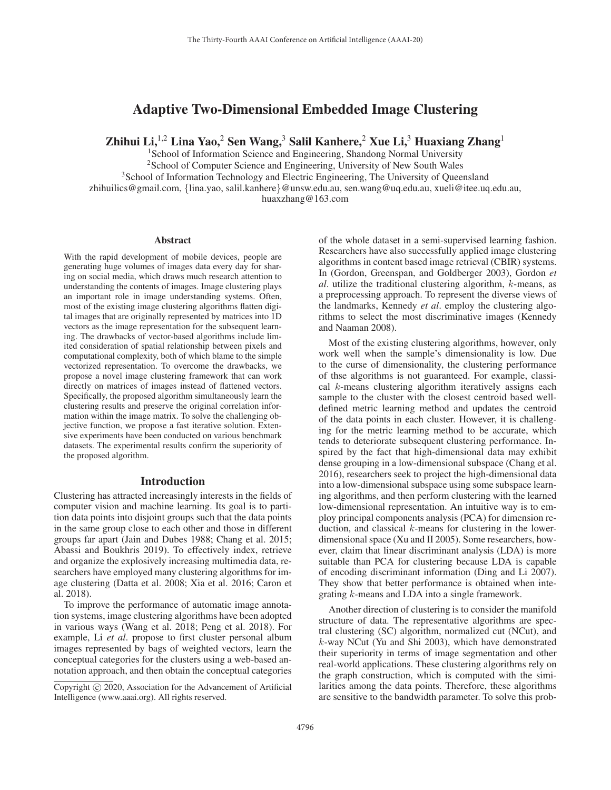# Adaptive Two-Dimensional Embedded Image Clustering

Zhihui Li,  $^{1,2}$  Lina Yao,  $^{2}$  Sen Wang,  $^{3}$  Salil Kanhere,  $^{2}$  Xue Li,  $^{3}$  Huaxiang Zhang<sup>1</sup>

<sup>1</sup>School of Information Science and Engineering, Shandong Normal University <sup>2</sup>School of Computer Science and Engineering, University of New South Wales

<sup>3</sup>School of Information Technology and Electric Engineering, The University of Queensland

zhihuilics@gmail.com, {lina.yao, salil.kanhere}@unsw.edu.au, sen.wang@uq.edu.au, xueli@itee.uq.edu.au, huaxzhang@163.com

#### Abstract

With the rapid development of mobile devices, people are generating huge volumes of images data every day for sharing on social media, which draws much research attention to understanding the contents of images. Image clustering plays an important role in image understanding systems. Often, most of the existing image clustering algorithms flatten digital images that are originally represented by matrices into 1D vectors as the image representation for the subsequent learning. The drawbacks of vector-based algorithms include limited consideration of spatial relationship between pixels and computational complexity, both of which blame to the simple vectorized representation. To overcome the drawbacks, we propose a novel image clustering framework that can work directly on matrices of images instead of flattened vectors. Specifically, the proposed algorithm simultaneously learn the clustering results and preserve the original correlation information within the image matrix. To solve the challenging objective function, we propose a fast iterative solution. Extensive experiments have been conducted on various benchmark datasets. The experimental results confirm the superiority of the proposed algorithm.

## Introduction

Clustering has attracted increasingly interests in the fields of computer vision and machine learning. Its goal is to partition data points into disjoint groups such that the data points in the same group close to each other and those in different groups far apart (Jain and Dubes 1988; Chang et al. 2015; Abassi and Boukhris 2019). To effectively index, retrieve and organize the explosively increasing multimedia data, researchers have employed many clustering algorithms for image clustering (Datta et al. 2008; Xia et al. 2016; Caron et al. 2018).

To improve the performance of automatic image annotation systems, image clustering algorithms have been adopted in various ways (Wang et al. 2018; Peng et al. 2018). For example, Li *et al*. propose to first cluster personal album images represented by bags of weighted vectors, learn the conceptual categories for the clusters using a web-based annotation approach, and then obtain the conceptual categories

of the whole dataset in a semi-supervised learning fashion. Researchers have also successfully applied image clustering algorithms in content based image retrieval (CBIR) systems. In (Gordon, Greenspan, and Goldberger 2003), Gordon *et al*. utilize the traditional clustering algorithm, k-means, as a preprocessing approach. To represent the diverse views of the landmarks, Kennedy *et al*. employ the clustering algorithms to select the most discriminative images (Kennedy and Naaman 2008).

Most of the existing clustering algorithms, however, only work well when the sample's dimensionality is low. Due to the curse of dimensionality, the clustering performance of thse algorithms is not guaranteed. For example, classical k-means clustering algorithm iteratively assigns each sample to the cluster with the closest centroid based welldefined metric learning method and updates the centroid of the data points in each cluster. However, it is challenging for the metric learning method to be accurate, which tends to deteriorate subsequent clustering performance. Inspired by the fact that high-dimensional data may exhibit dense grouping in a low-dimensional subspace (Chang et al. 2016), researchers seek to project the high-dimensional data into a low-dimensional subspace using some subspace learning algorithms, and then perform clustering with the learned low-dimensional representation. An intuitive way is to employ principal components analysis (PCA) for dimension reduction, and classical  $k$ -means for clustering in the lowerdimensional space (Xu and II 2005). Some researchers, however, claim that linear discriminant analysis (LDA) is more suitable than PCA for clustering because LDA is capable of encoding discriminant information (Ding and Li 2007). They show that better performance is obtained when integrating k-means and LDA into a single framework.

Another direction of clustering is to consider the manifold structure of data. The representative algorithms are spectral clustering (SC) algorithm, normalized cut (NCut), and k-way NCut (Yu and Shi 2003), which have demonstrated their superiority in terms of image segmentation and other real-world applications. These clustering algorithms rely on the graph construction, which is computed with the similarities among the data points. Therefore, these algorithms are sensitive to the bandwidth parameter. To solve this prob-

Copyright  $\odot$  2020, Association for the Advancement of Artificial Intelligence (www.aaai.org). All rights reserved.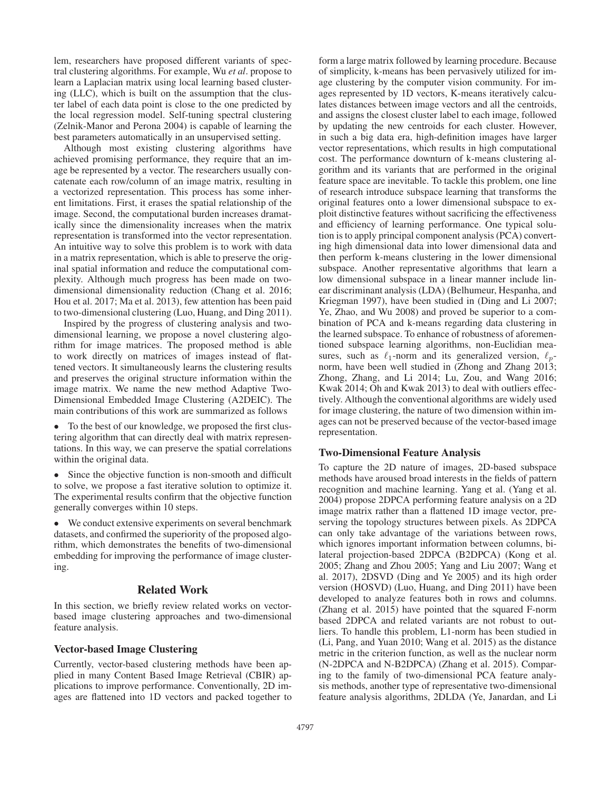lem, researchers have proposed different variants of spectral clustering algorithms. For example, Wu *et al*. propose to learn a Laplacian matrix using local learning based clustering (LLC), which is built on the assumption that the cluster label of each data point is close to the one predicted by the local regression model. Self-tuning spectral clustering (Zelnik-Manor and Perona 2004) is capable of learning the best parameters automatically in an unsupervised setting.

Although most existing clustering algorithms have achieved promising performance, they require that an image be represented by a vector. The researchers usually concatenate each row/column of an image matrix, resulting in a vectorized representation. This process has some inherent limitations. First, it erases the spatial relationship of the image. Second, the computational burden increases dramatically since the dimensionality increases when the matrix representation is transformed into the vector representation. An intuitive way to solve this problem is to work with data in a matrix representation, which is able to preserve the original spatial information and reduce the computational complexity. Although much progress has been made on twodimensional dimensionality reduction (Chang et al. 2016; Hou et al. 2017; Ma et al. 2013), few attention has been paid to two-dimensional clustering (Luo, Huang, and Ding 2011).

Inspired by the progress of clustering analysis and twodimensional learning, we propose a novel clustering algorithm for image matrices. The proposed method is able to work directly on matrices of images instead of flattened vectors. It simultaneously learns the clustering results and preserves the original structure information within the image matrix. We name the new method Adaptive Two-Dimensional Embedded Image Clustering (A2DEIC). The main contributions of this work are summarized as follows

• To the best of our knowledge, we proposed the first clustering algorithm that can directly deal with matrix representations. In this way, we can preserve the spatial correlations within the original data.

• Since the objective function is non-smooth and difficult to solve, we propose a fast iterative solution to optimize it. The experimental results confirm that the objective function generally converges within 10 steps.

• We conduct extensive experiments on several benchmark datasets, and confirmed the superiority of the proposed algorithm, which demonstrates the benefits of two-dimensional embedding for improving the performance of image clustering.

## Related Work

In this section, we briefly review related works on vectorbased image clustering approaches and two-dimensional feature analysis.

# Vector-based Image Clustering

Currently, vector-based clustering methods have been applied in many Content Based Image Retrieval (CBIR) applications to improve performance. Conventionally, 2D images are flattened into 1D vectors and packed together to form a large matrix followed by learning procedure. Because of simplicity, k-means has been pervasively utilized for image clustering by the computer vision community. For images represented by 1D vectors, K-means iteratively calculates distances between image vectors and all the centroids, and assigns the closest cluster label to each image, followed by updating the new centroids for each cluster. However, in such a big data era, high-definition images have larger vector representations, which results in high computational cost. The performance downturn of k-means clustering algorithm and its variants that are performed in the original feature space are inevitable. To tackle this problem, one line of research introduce subspace learning that transforms the original features onto a lower dimensional subspace to exploit distinctive features without sacrificing the effectiveness and efficiency of learning performance. One typical solution is to apply principal component analysis (PCA) converting high dimensional data into lower dimensional data and then perform k-means clustering in the lower dimensional subspace. Another representative algorithms that learn a low dimensional subspace in a linear manner include linear discriminant analysis (LDA) (Belhumeur, Hespanha, and Kriegman 1997), have been studied in (Ding and Li 2007; Ye, Zhao, and Wu 2008) and proved be superior to a combination of PCA and k-means regarding data clustering in the learned subspace. To enhance of robustness of aforementioned subspace learning algorithms, non-Euclidian measures, such as  $\ell_1$ -norm and its generalized version,  $\ell_p$ norm, have been well studied in (Zhong and Zhang 2013; Zhong, Zhang, and Li 2014; Lu, Zou, and Wang 2016; Kwak 2014; Oh and Kwak 2013) to deal with outliers effectively. Although the conventional algorithms are widely used for image clustering, the nature of two dimension within images can not be preserved because of the vector-based image representation.

## Two-Dimensional Feature Analysis

To capture the 2D nature of images, 2D-based subspace methods have aroused broad interests in the fields of pattern recognition and machine learning. Yang et al. (Yang et al. 2004) propose 2DPCA performing feature analysis on a 2D image matrix rather than a flattened 1D image vector, preserving the topology structures between pixels. As 2DPCA can only take advantage of the variations between rows, which ignores important information between columns, bilateral projection-based 2DPCA (B2DPCA) (Kong et al. 2005; Zhang and Zhou 2005; Yang and Liu 2007; Wang et al. 2017), 2DSVD (Ding and Ye 2005) and its high order version (HOSVD) (Luo, Huang, and Ding 2011) have been developed to analyze features both in rows and columns. (Zhang et al. 2015) have pointed that the squared F-norm based 2DPCA and related variants are not robust to outliers. To handle this problem, L1-norm has been studied in (Li, Pang, and Yuan 2010; Wang et al. 2015) as the distance metric in the criterion function, as well as the nuclear norm (N-2DPCA and N-B2DPCA) (Zhang et al. 2015). Comparing to the family of two-dimensional PCA feature analysis methods, another type of representative two-dimensional feature analysis algorithms, 2DLDA (Ye, Janardan, and Li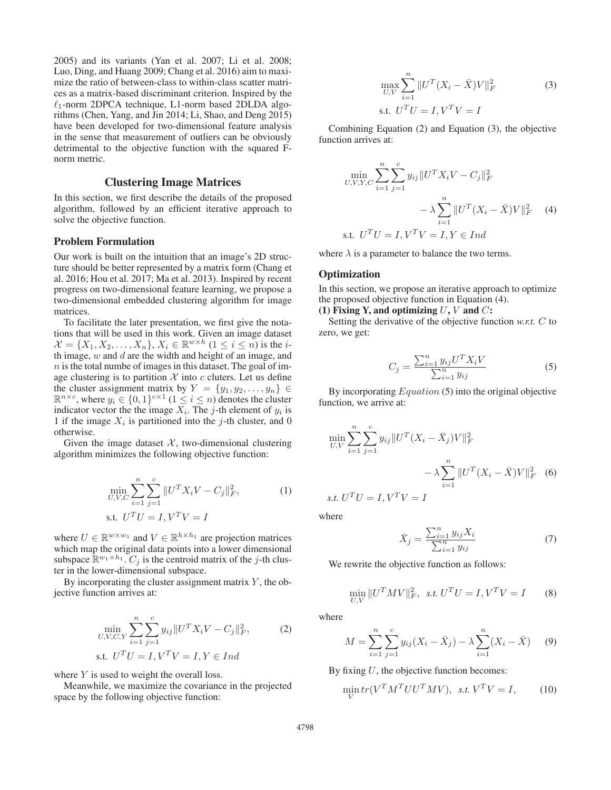2005) and its variants (Yan et al. 2007; Li et al. 2008; Luo, Ding, and Huang 2009; Chang et al. 2016) aim to maximize the ratio of between-class to within-class scatter matrices as a matrix-based discriminant criterion. Inspired by the  $\ell_1$ -norm 2DPCA technique, L1-norm based 2DLDA algorithms (Chen, Yang, and Jin 2014; Li, Shao, and Deng 2015) have been developed for two-dimensional feature analysis in the sense that measurement of outliers can be obviously detrimental to the objective function with the squared Fnorm metric.

# Clustering Image Matrices

In this section, we first describe the details of the proposed algorithm, followed by an efficient iterative approach to solve the objective function.

#### Problem Formulation

Our work is built on the intuition that an image's 2D structure should be better represented by a matrix form (Chang et al. 2016; Hou et al. 2017; Ma et al. 2013). Inspired by recent progress on two-dimensional feature learning, we propose a two-dimensional embedded clustering algorithm for image matrices.

To facilitate the later presentation, we first give the notations that will be used in this work. Given an image dataset  $\mathcal{X} = \{X_1, X_2, \ldots, X_n\}, X_i \in \mathbb{R}^{w \times h}$   $(1 \leq i \leq n)$  is the *i*th image,  $w$  and  $d$  are the width and height of an image, and  $n$  is the total numbe of images in this dataset. The goal of image clustering is to partition  $X$  into  $c$  cluters. Let us define the cluster assignment matrix by  $Y = \{y_1, y_2, \ldots, y_n\} \in$  $\mathbb{R}^{n \times c}$ , where  $y_i \in \{0,1\}^{c \times 1}$  ( $1 \le i \le n$ ) denotes the cluster indicator vector the the image  $X_i$ . The j-th element of  $y_i$  is 1 if the image  $X_i$  is partitioned into the j-th cluster, and 0 otherwise.

Given the image dataset  $X$ , two-dimensional clustering algorithm minimizes the following objective function:

$$
\min_{U, V, C} \sum_{i=1}^{n} \sum_{j=1}^{c} ||U^T X_i V - C_j||_F^2,
$$
\n
$$
\text{s.t. } U^T U = I, V^T V = I
$$
\n(1)

where  $U \in \mathbb{R}^{w \times w_1}$  and  $V \in \mathbb{R}^{h \times h_1}$  are projection matrices which map the original data points into a lower dimensional subspace  $\mathbb{R}^{w_1 \times h_1}$ .  $C_j$  is the centroid matrix of the j-th cluster in the lower-dimensional subspace.

By incorporating the cluster assignment matrix  $Y$ , the objective function arrives at:

$$
\min_{U,V,C,Y} \sum_{i=1}^{n} \sum_{j=1}^{c} y_{ij} || U^{T} X_{i} V - C_{j} ||_{F}^{2},
$$
\n
$$
\text{s.t. } U^{T} U = I, V^{T} V = I, Y \in Ind
$$
\n
$$
\text{(2)}
$$

where  $Y$  is used to weight the overall loss.

Meanwhile, we maximize the covariance in the projected space by the following objective function:

$$
\max_{U,V} \sum_{i=1}^{n} ||U^{T}(X_{i} - \bar{X})V||_{F}^{2}
$$
  
s.t.  $U^{T}U = I, V^{T}V = I$  (3)

Combining Equation (2) and Equation (3), the objective function arrives at:

$$
\min_{U,V,Y,C} \sum_{i=1}^{n} \sum_{j=1}^{c} y_{ij} ||U^T X_i V - C_j||_F^2
$$
  
-  $\lambda \sum_{i=1}^{n} ||U^T (X_i - \bar{X}) V||_F^2$  (4)  
s.t.  $U^T U = I, V^T V = I, Y \in Ind$ 

where  $\lambda$  is a parameter to balance the two terms.

## **Optimization**

In this section, we propose an iterative approach to optimize the proposed objective function in Equation (4).

(1) Fixing Y, and optimizing  $U, V$  and  $C$ :

Setting the derivative of the objective function *w.r.t.* C to zero, we get:

$$
C_j = \frac{\sum_{i=1}^{n} y_{ij} U^T X_i V}{\sum_{i=1}^{n} y_{ij}}
$$
 (5)

By incorporating  $Equation (5)$  into the original objective function, we arrive at:

$$
\min_{U,V} \sum_{i=1}^{n} \sum_{j=1}^{c} y_{ij} ||U^{T} (X_i - \bar{X}_j) V||_F^2
$$
  

$$
- \lambda \sum_{i=1}^{n} ||U^{T} (X_i - \bar{X}) V||_F^2 \quad (6)
$$
  
s.t.  $U^{T} U = I, V^{T} V = I$ 

where

$$
\bar{X}_j = \frac{\sum_{i=1}^n y_{ij} X_i}{\sum_{i=1}^n y_{ij}}
$$
\n(7)

We rewrite the objective function as follows:

$$
\min_{U,V} \|U^T M V\|_F^2, \ \text{ s.t. } U^T U = I, V^T V = I \tag{8}
$$

where

$$
M = \sum_{i=1}^{n} \sum_{j=1}^{c} y_{ij} (X_i - \bar{X}_j) - \lambda \sum_{i=1}^{n} (X_i - \bar{X}) \tag{9}
$$

By fixing  $U$ , the objective function becomes:

$$
\min_{V} tr(V^T M^T U U^T M V), \ \text{ s.t. } V^T V = I, \tag{10}
$$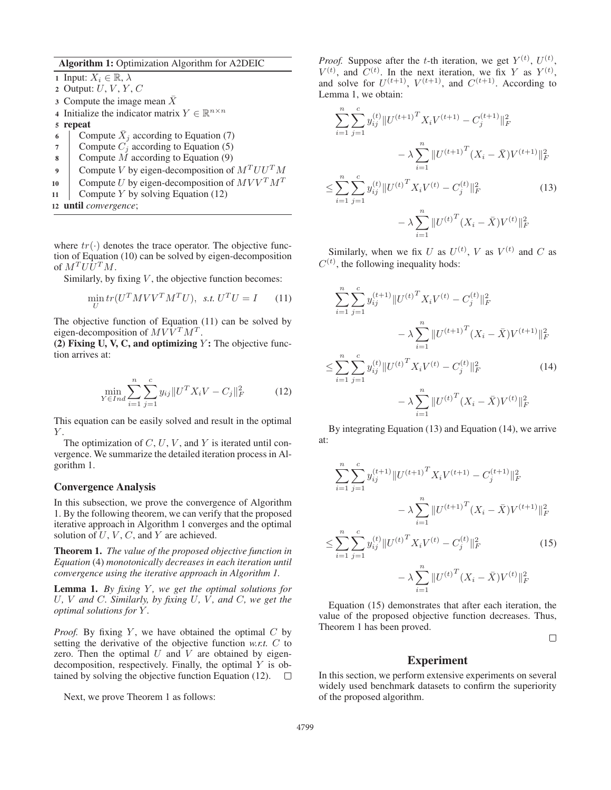Algorithm 1: Optimization Algorithm for A2DEIC

1 Input:  $X_i \in \mathbb{R}, \lambda$ 2 Output:  $U, V, Y, C$  $3$  Compute the image mean X 4 Initialize the indicator matrix  $Y \in \mathbb{R}^{n \times n}$ 5 repeat 6 Compute  $X_j$  according to Equation (7)<br>7 Compute  $C_i$  according to Equation (5) Compute  $C_j$  according to Equation (5) 8 Compute  $\overline{M}$  according to Equation (9) 9 Compute V by eigen-decomposition of  $M^T U U^T M$ 10 Compute U by eigen-decomposition of  $MVV^T M^T$ 11 Compute Y by solving Equation  $(12)$ <sup>12</sup> until *convergence*;

where  $tr(\cdot)$  denotes the trace operator. The objective function of Equation (10) can be solved by eigen-decomposition of  $M^T U U^T M$ .

Similarly, by fixing  $V$ , the objective function becomes:

$$
\min_{U} tr(U^{T} M V V^{T} M^{T} U), \ \ s.t. \ U^{T} U = I \tag{11}
$$

The objective function of Equation (11) can be solved by eigen-decomposition of  $M V \overline{V}{}^{T} M^{T}$ .

(2) Fixing U, V, C, and optimizing  $Y$ : The objective function arrives at:

$$
\min_{Y \in Ind} \sum_{i=1}^{n} \sum_{j=1}^{c} y_{ij} ||U^T X_i V - C_j ||_F^2 \tag{12}
$$

This equation can be easily solved and result in the optimal  $Y$ .

The optimization of  $C, U, V$ , and Y is iterated until convergence. We summarize the detailed iteration process in Algorithm 1.

# Convergence Analysis

In this subsection, we prove the convergence of Algorithm 1. By the following theorem, we can verify that the proposed iterative approach in Algorithm 1 converges and the optimal solution of  $U, V, C$ , and  $Y$  are achieved.

Theorem 1. *The value of the proposed objective function in Equation* (4) *monotonically decreases in each iteration until convergence using the iterative approach in Algorithm 1.*

Lemma 1. *By fixing Y, we get the optimal solutions for* U*,* V *and* C*. Similarly, by fixing* U*,* V *, and* C*, we get the optimal solutions for* Y *.*

*Proof.* By fixing Y, we have obtained the optimal  $C$  by setting the derivative of the objective function *w.r.t.* C to zero. Then the optimal  $U$  and  $V$  are obtained by eigendecomposition, respectively. Finally, the optimal  $Y$  is obtained by solving the objective function Equation (12).  $\Box$ 

Next, we prove Theorem 1 as follows:

*Proof.* Suppose after the *t*-th iteration, we get  $Y^{(t)}$ ,  $U^{(t)}$ ,  $V^{(t)}$ , and  $C^{(t)}$ . In the next iteration, we fix Y as  $Y^{(t)}$ , and solve for  $U^{(t+1)}$ ,  $V^{(t+1)}$ , and  $C^{(t+1)}$ . According to Lemma 1, we obtain:

$$
\sum_{i=1}^{n} \sum_{j=1}^{c} y_{ij}^{(t)} \| U^{(t+1)T} X_i V^{(t+1)} - C_j^{(t+1)} \|_F^2
$$
  

$$
- \lambda \sum_{i=1}^{n} \| U^{(t+1)T} (X_i - \bar{X}) V^{(t+1)} \|_F^2
$$
  

$$
\leq \sum_{i=1}^{n} \sum_{j=1}^{c} y_{ij}^{(t)} \| U^{(t)T} X_i V^{(t)} - C_j^{(t)} \|_F^2
$$
  

$$
- \lambda \sum_{i=1}^{n} \| U^{(t)T} (X_i - \bar{X}) V^{(t)} \|_F^2
$$
(13)

Similarly, when we fix U as  $U^{(t)}$ , V as  $V^{(t)}$  and C as  $C^{(t)}$ , the following inequality hods:

$$
\sum_{i=1}^{n} \sum_{j=1}^{c} y_{ij}^{(t+1)} \| U^{(t)}^{T} X_i V^{(t)} - C_j^{(t)} \|_F^2
$$
  

$$
- \lambda \sum_{i=1}^{n} \| U^{(t+1)}^{T} (X_i - \bar{X}) V^{(t+1)} \|_F^2
$$
  

$$
\leq \sum_{i=1}^{n} \sum_{j=1}^{c} y_{ij}^{(t)} \| U^{(t)}^{T} X_i V^{(t)} - C_j^{(t)} \|_F^2
$$
  

$$
- \lambda \sum_{i=1}^{n} \| U^{(t)}^{T} (X_i - \bar{X}) V^{(t)} \|_F^2
$$
(14)

By integrating Equation (13) and Equation (14), we arrive at:

$$
\sum_{i=1}^{n} \sum_{j=1}^{c} y_{ij}^{(t+1)} \| U^{(t+1)T} X_i V^{(t+1)} - C_j^{(t+1)} \|_F^2
$$
  

$$
- \lambda \sum_{i=1}^{n} \| U^{(t+1)T} (X_i - \bar{X}) V^{(t+1)} \|_F^2
$$
  

$$
\leq \sum_{i=1}^{n} \sum_{j=1}^{c} y_{ij}^{(t)} \| U^{(t)T} X_i V^{(t)} - C_j^{(t)} \|_F^2
$$
(15)  

$$
- \lambda \sum_{i=1}^{n} \| U^{(t)T} (X_i - \bar{X}) V^{(t)} \|_F^2
$$

Equation (15) demonstrates that after each iteration, the value of the proposed objective function decreases. Thus, Theorem 1 has been proved.

 $\Box$ 

## Experiment

In this section, we perform extensive experiments on several widely used benchmark datasets to confirm the superiority of the proposed algorithm.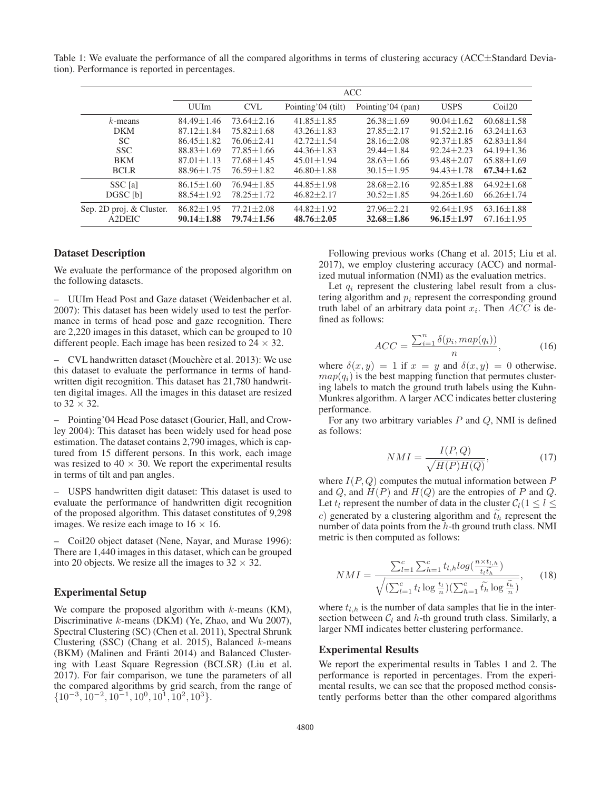Table 1: We evaluate the performance of all the compared algorithms in terms of clustering accuracy ( $ACC\pm Standard Devia$ tion). Performance is reported in percentages.

|                                    | <b>ACC</b>                       |                                  |                                  |                                  |                                  |                                  |  |
|------------------------------------|----------------------------------|----------------------------------|----------------------------------|----------------------------------|----------------------------------|----------------------------------|--|
|                                    | <b>UUIm</b>                      | <b>CVL</b>                       | Pointing'04 (tilt)               | Pointing'04 (pan)                | <b>USPS</b>                      | Coil20                           |  |
| $k$ -means                         | $84.49 + 1.46$                   | $73.64 + 2.16$                   | $41.85 + 1.85$                   | $26.38 + 1.69$                   | $90.04 + 1.62$                   | $60.68 + 1.58$                   |  |
| <b>DKM</b>                         | $87.12 + 1.84$                   | $75.82 + 1.68$                   | $43.26 + 1.83$                   | $27.85 + 2.17$                   | $91.52 + 2.16$                   | $63.24 + 1.63$                   |  |
| <sub>SC</sub>                      | $86.45 + 1.82$                   | $76.06 + 2.41$                   | $42.72 + 1.54$                   | $28.16 + 2.08$                   | $92.37 + 1.85$                   | $62.83 + 1.84$                   |  |
| <b>SSC</b>                         | $88.83 + 1.69$                   | $77.85 + 1.66$                   | $44.36 + 1.83$                   | $29.44 + 1.84$                   | $92.24 + 2.23$                   | $64.19 + 1.36$                   |  |
| <b>BKM</b>                         | $87.01 + 1.13$                   | $77.68 + 1.45$                   | $45.01 + 1.94$                   | $28.63 + 1.66$                   | $93.48 + 2.07$                   | $65.88 + 1.69$                   |  |
| <b>BCLR</b>                        | $88.96 + 1.75$                   | $76.59 + 1.82$                   | $46.80 + 1.88$                   | $30.15 + 1.95$                   | $94.43 + 1.78$                   | $67.34 + 1.62$                   |  |
| SSC [a]                            | $86.15 + 1.60$                   | $76.94 + 1.85$                   | $44.85 \pm 1.98$                 | $28.68 \pm 2.16$                 | $92.85 + 1.88$                   | $64.92 + 1.68$                   |  |
| DGSC [b]                           | $88.54 + 1.92$                   | $78.25 + 1.72$                   | $46.82 + 2.17$                   | $30.52 + 1.85$                   | $94.26 + 1.60$                   | $66.26 + 1.74$                   |  |
| Sep. 2D proj. & Cluster.<br>A2DEIC | $86.82 + 1.95$<br>$90.14 + 1.88$ | $77.21 + 2.08$<br>$79.74 + 1.56$ | $44.82 + 1.92$<br>$48.76 + 2.05$ | $27.96 + 2.21$<br>$32.68 + 1.86$ | $92.64 + 1.95$<br>$96.15 + 1.97$ | $63.16 + 1.88$<br>$67.16 + 1.95$ |  |

#### Dataset Description

We evaluate the performance of the proposed algorithm on the following datasets.

– UUIm Head Post and Gaze dataset (Weidenbacher et al. 2007): This dataset has been widely used to test the performance in terms of head pose and gaze recognition. There are 2,220 images in this dataset, which can be grouped to 10 different people. Each image has been resized to  $24 \times 32$ .

– CVL handwritten dataset (Mouchère et al. 2013): We use this dataset to evaluate the performance in terms of handwritten digit recognition. This dataset has 21,780 handwritten digital images. All the images in this dataset are resized to  $32 \times 32$ .

– Pointing'04 Head Pose dataset (Gourier, Hall, and Crowley 2004): This dataset has been widely used for head pose estimation. The dataset contains 2,790 images, which is captured from 15 different persons. In this work, each image was resized to  $40 \times 30$ . We report the experimental results in terms of tilt and pan angles.

– USPS handwritten digit dataset: This dataset is used to evaluate the performance of handwritten digit recognition of the proposed algorithm. This dataset constitutes of 9,298 images. We resize each image to  $16 \times 16$ .

– Coil20 object dataset (Nene, Nayar, and Murase 1996): There are 1,440 images in this dataset, which can be grouped into 20 objects. We resize all the images to  $32 \times 32$ .

#### Experimental Setup

We compare the proposed algorithm with  $k$ -means (KM), Discriminative k-means (DKM) (Ye, Zhao, and Wu 2007), Spectral Clustering (SC) (Chen et al. 2011), Spectral Shrunk Clustering (SSC) (Chang et al. 2015), Balanced  $k$ -means (BKM) (Malinen and Fränti 2014) and Balanced Clustering with Least Square Regression (BCLSR) (Liu et al. 2017). For fair comparison, we tune the parameters of all the compared algorithms by grid search, from the range of  $\{10^{-3}, 10^{-2}, 10^{-1}, 10^{0}, 10^{1}, 10^{2}, 10^{3}\}.$ 

Following previous works (Chang et al. 2015; Liu et al. 2017), we employ clustering accuracy (ACC) and normalized mutual information (NMI) as the evaluation metrics.

Let  $q_i$  represent the clustering label result from a clustering algorithm and  $p_i$  represent the corresponding ground truth label of an arbitrary data point  $x_i$ . Then  $ACC$  is defined as follows:

$$
ACC = \frac{\sum_{i=1}^{n} \delta(p_i, map(q_i))}{n},\tag{16}
$$

where  $\delta(x, y) = 1$  if  $x = y$  and  $\delta(x, y) = 0$  otherwise.  $map(q_i)$  is the best mapping function that permutes clustering labels to match the ground truth labels using the Kuhn-Munkres algorithm. A larger ACC indicates better clustering performance.

For any two arbitrary variables  $P$  and  $Q$ , NMI is defined as follows:

$$
NMI = \frac{I(P,Q)}{\sqrt{H(P)H(Q)}},\tag{17}
$$

where  $I(P,Q)$  computes the mutual information between P and  $Q$ , and  $H(P)$  and  $H(Q)$  are the entropies of P and  $Q$ . Let  $t_l$  represent the number of data in the cluster  $C_l(1 \leq l \leq l)$ c) generated by a clustering algorithm and  $t_h$  represent the number of data points from the *h*-th ground truth class NMI number of data points from the  $h$ -th ground truth class. NMI metric is then computed as follows:

ric is then computed as follows:  
\n
$$
NMI = \frac{\sum_{l=1}^{c} \sum_{h=1}^{c} t_{l,h} log(\frac{n \times t_{l,h}}{t_l t_h})}{\sqrt{(\sum_{l=1}^{c} t_l \log \frac{t_l}{n})(\sum_{h=1}^{c} t_h \log \frac{\tilde{t_h}}{n})}},
$$
\n(18)

where  $t_{l,h}$  is the number of data samples that lie in the intersection between  $C_l$  and h-th ground truth class. Similarly, a larger NMI indicates better clustering performance.

#### Experimental Results

We report the experimental results in Tables 1 and 2. The performance is reported in percentages. From the experimental results, we can see that the proposed method consistently performs better than the other compared algorithms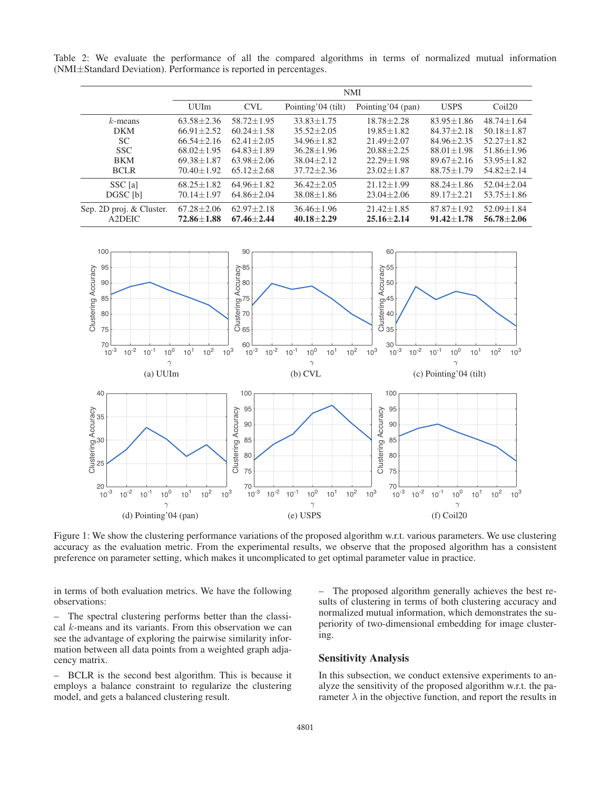Table 2: We evaluate the performance of all the compared algorithms in terms of normalized mutual information (NMI±Standard Deviation). Performance is reported in percentages.

|                                    | <b>NMI</b>                       |                                  |                                  |                                  |                                  |                                  |  |
|------------------------------------|----------------------------------|----------------------------------|----------------------------------|----------------------------------|----------------------------------|----------------------------------|--|
|                                    | <b>UUIm</b>                      | <b>CVL</b>                       | Pointing'04 (tilt)               | Pointing'04 (pan)                | <b>USPS</b>                      | Coil20                           |  |
| $k$ -means                         | $63.58 + 2.36$                   | $58.72 + 1.95$                   | $33.83 + 1.75$                   | $18.78 + 2.28$                   | $83.95 + 1.86$                   | $48.74 + 1.64$                   |  |
| <b>DKM</b>                         | $66.91 + 2.52$                   | $60.24 + 1.58$                   | $35.52 + 2.05$                   | $19.85 + 1.82$                   | $84.37 + 2.18$                   | $50.18 + 1.87$                   |  |
| <b>SC</b>                          | $66.54 + 2.16$                   | $62.41 + 2.05$                   | $34.96 + 1.82$                   | $21.49 + 2.07$                   | $84.96 + 2.35$                   | $52.27 + 1.82$                   |  |
| <b>SSC</b>                         | $68.02 + 1.95$                   | $64.83 + 1.89$                   | $36.28 + 1.96$                   | $20.88 + 2.25$                   | $88.01 + 1.98$                   | $51.86 + 1.96$                   |  |
| <b>BKM</b>                         | $69.38 + 1.87$                   | $63.98 + 2.06$                   | $38.04 + 2.12$                   | $22.29 + 1.98$                   | $89.67 + 2.16$                   | $53.95 + 1.82$                   |  |
| <b>BCLR</b>                        | $70.40 + 1.92$                   | $65.12 + 2.68$                   | $37.72 + 2.36$                   | $23.02 + 1.87$                   | $88.75 + 1.79$                   | $54.82 + 2.14$                   |  |
| SSC [a]                            | $68.25 + 1.82$                   | $64.96 \pm 1.82$                 | $36.42 + 2.05$                   | $21.12 + 1.99$                   | $88.24 + 1.86$                   | $52.04 + 2.04$                   |  |
| DGSC [b]                           | $70.14 + 1.97$                   | $64.86 + 2.04$                   | $38.08 + 1.86$                   | $23.04 + 2.06$                   | $89.17 + 2.21$                   | $53.75 + 1.86$                   |  |
| Sep. 2D proj. & Cluster.<br>A2DEIC | $67.28 + 2.06$<br>$72.86 + 1.88$ | $62.97 + 2.18$<br>$67.46 + 2.44$ | $36.46 + 1.96$<br>$40.18 + 2.29$ | $21.42 + 1.85$<br>$25.16 + 2.14$ | $87.87 + 1.92$<br>$91.42 + 1.78$ | $52.09 + 1.84$<br>$56.78 + 2.06$ |  |



Figure 1: We show the clustering performance variations of the proposed algorithm w.r.t. various parameters. We use clustering accuracy as the evaluation metric. From the experimental results, we observe that the proposed algorithm has a consistent preference on parameter setting, which makes it uncomplicated to get optimal parameter value in practice.

in terms of both evaluation metrics. We have the following observations:

– The spectral clustering performs better than the classical k-means and its variants. From this observation we can see the advantage of exploring the pairwise similarity information between all data points from a weighted graph adjacency matrix.

– BCLR is the second best algorithm. This is because it employs a balance constraint to regularize the clustering model, and gets a balanced clustering result.

– The proposed algorithm generally achieves the best results of clustering in terms of both clustering accuracy and normalized mutual information, which demonstrates the superiority of two-dimensional embedding for image clustering.

# Sensitivity Analysis

In this subsection, we conduct extensive experiments to analyze the sensitivity of the proposed algorithm w.r.t. the parameter  $\lambda$  in the objective function, and report the results in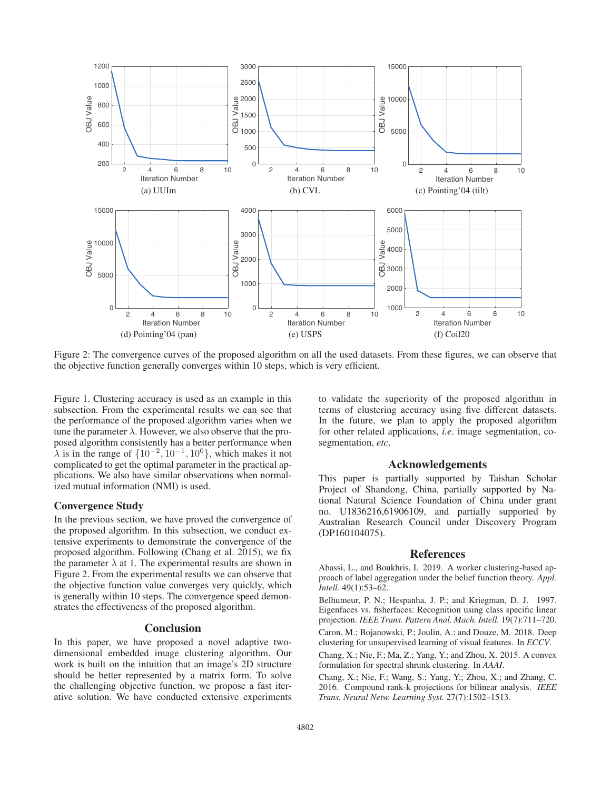

Figure 2: The convergence curves of the proposed algorithm on all the used datasets. From these figures, we can observe that the objective function generally converges within 10 steps, which is very efficient.

Figure 1. Clustering accuracy is used as an example in this subsection. From the experimental results we can see that the performance of the proposed algorithm varies when we tune the parameter  $\lambda$ . However, we also observe that the proposed algorithm consistently has a better performance when  $\lambda$  is in the range of  $\{10^{-2}, 10^{-1}, 10^{0}\}$ , which makes it not complicated to get the optimal parameter in the practical applications. We also have similar observations when normalized mutual information (NMI) is used.

#### Convergence Study

In the previous section, we have proved the convergence of the proposed algorithm. In this subsection, we conduct extensive experiments to demonstrate the convergence of the proposed algorithm. Following (Chang et al. 2015), we fix the parameter  $\lambda$  at 1. The experimental results are shown in Figure 2. From the experimental results we can observe that the objective function value converges very quickly, which is generally within 10 steps. The convergence speed demonstrates the effectiveness of the proposed algorithm.

#### Conclusion

In this paper, we have proposed a novel adaptive twodimensional embedded image clustering algorithm. Our work is built on the intuition that an image's 2D structure should be better represented by a matrix form. To solve the challenging objective function, we propose a fast iterative solution. We have conducted extensive experiments to validate the superiority of the proposed algorithm in terms of clustering accuracy using five different datasets. In the future, we plan to apply the proposed algorithm for other related applications, *i.e*. image segmentation, cosegmentation, *etc*.

## Acknowledgements

This paper is partially supported by Taishan Scholar Project of Shandong, China, partially supported by National Natural Science Foundation of China under grant no. U1836216,61906109, and partially supported by Australian Research Council under Discovery Program (DP160104075).

#### References

Abassi, L., and Boukhris, I. 2019. A worker clustering-based approach of label aggregation under the belief function theory. *Appl. Intell.* 49(1):53–62.

Belhumeur, P. N.; Hespanha, J. P.; and Kriegman, D. J. 1997. Eigenfaces vs. fisherfaces: Recognition using class specific linear projection. *IEEE Trans. Pattern Anal. Mach. Intell.* 19(7):711–720. Caron, M.; Bojanowski, P.; Joulin, A.; and Douze, M. 2018. Deep clustering for unsupervised learning of visual features. In *ECCV*.

Chang, X.; Nie, F.; Ma, Z.; Yang, Y.; and Zhou, X. 2015. A convex formulation for spectral shrunk clustering. In *AAAI*.

Chang, X.; Nie, F.; Wang, S.; Yang, Y.; Zhou, X.; and Zhang, C. 2016. Compound rank-k projections for bilinear analysis. *IEEE Trans. Neural Netw. Learning Syst.* 27(7):1502–1513.